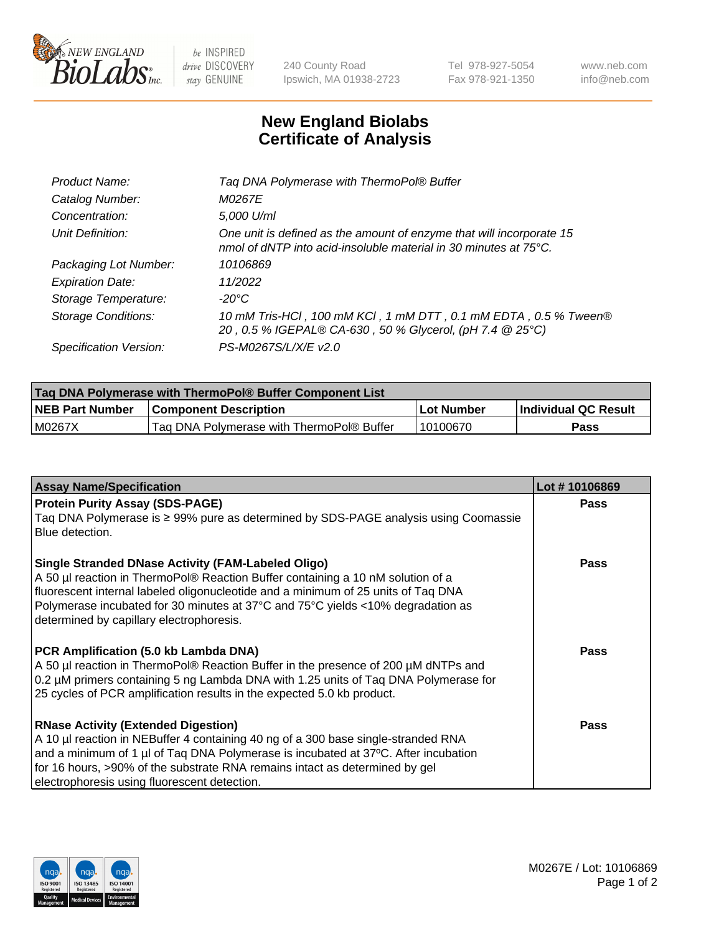

 $be$  INSPIRED drive DISCOVERY stay GENUINE

240 County Road Ipswich, MA 01938-2723 Tel 978-927-5054 Fax 978-921-1350 www.neb.com info@neb.com

## **New England Biolabs Certificate of Analysis**

| Tag DNA Polymerase with ThermoPol® Buffer                                                                                                |
|------------------------------------------------------------------------------------------------------------------------------------------|
| <i>M0267E</i>                                                                                                                            |
| 5,000 U/ml                                                                                                                               |
| One unit is defined as the amount of enzyme that will incorporate 15<br>nmol of dNTP into acid-insoluble material in 30 minutes at 75°C. |
| 10106869                                                                                                                                 |
| 11/2022                                                                                                                                  |
| $-20^{\circ}$ C                                                                                                                          |
| 10 mM Tris-HCl, 100 mM KCl, 1 mM DTT, 0.1 mM EDTA, 0.5 % Tween®<br>20, 0.5 % IGEPAL® CA-630, 50 % Glycerol, (pH 7.4 @ 25°C)              |
| PS-M0267S/L/X/E v2.0                                                                                                                     |
|                                                                                                                                          |

| Taq DNA Polymerase with ThermoPol® Buffer Component List |                                           |             |                      |  |  |
|----------------------------------------------------------|-------------------------------------------|-------------|----------------------|--|--|
| <b>NEB Part Number</b>                                   | <b>Component Description</b>              | ⊺Lot Number | Individual QC Result |  |  |
| M0267X                                                   | Tag DNA Polymerase with ThermoPol® Buffer | 10100670    | <b>Pass</b>          |  |  |

| <b>Assay Name/Specification</b>                                                                                                                                                                                                                                                                                                                                  | Lot #10106869 |
|------------------------------------------------------------------------------------------------------------------------------------------------------------------------------------------------------------------------------------------------------------------------------------------------------------------------------------------------------------------|---------------|
| <b>Protein Purity Assay (SDS-PAGE)</b><br>Taq DNA Polymerase is ≥ 99% pure as determined by SDS-PAGE analysis using Coomassie<br>Blue detection.                                                                                                                                                                                                                 | <b>Pass</b>   |
| <b>Single Stranded DNase Activity (FAM-Labeled Oligo)</b><br>A 50 µl reaction in ThermoPol® Reaction Buffer containing a 10 nM solution of a<br>fluorescent internal labeled oligonucleotide and a minimum of 25 units of Taq DNA<br>Polymerase incubated for 30 minutes at 37°C and 75°C yields <10% degradation as<br>determined by capillary electrophoresis. | <b>Pass</b>   |
| PCR Amplification (5.0 kb Lambda DNA)<br>A 50 µl reaction in ThermoPol® Reaction Buffer in the presence of 200 µM dNTPs and<br>0.2 µM primers containing 5 ng Lambda DNA with 1.25 units of Taq DNA Polymerase for<br>25 cycles of PCR amplification results in the expected 5.0 kb product.                                                                     | <b>Pass</b>   |
| <b>RNase Activity (Extended Digestion)</b><br>A 10 µl reaction in NEBuffer 4 containing 40 ng of a 300 base single-stranded RNA<br>and a minimum of 1 µl of Taq DNA Polymerase is incubated at 37°C. After incubation<br>for 16 hours, >90% of the substrate RNA remains intact as determined by gel<br>electrophoresis using fluorescent detection.             | Pass          |